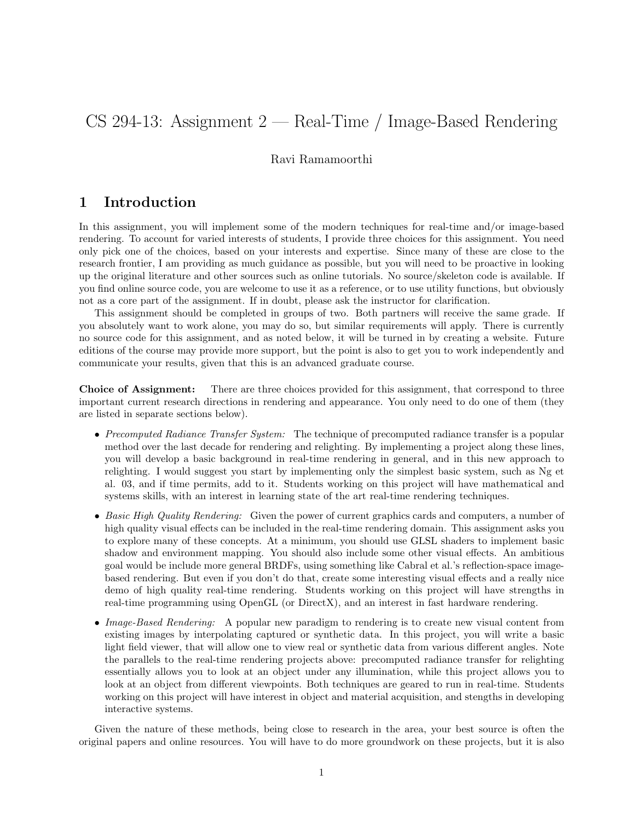# CS 294-13: Assignment 2 — Real-Time / Image-Based Rendering

### Ravi Ramamoorthi

## 1 Introduction

In this assignment, you will implement some of the modern techniques for real-time and/or image-based rendering. To account for varied interests of students, I provide three choices for this assignment. You need only pick one of the choices, based on your interests and expertise. Since many of these are close to the research frontier, I am providing as much guidance as possible, but you will need to be proactive in looking up the original literature and other sources such as online tutorials. No source/skeleton code is available. If you find online source code, you are welcome to use it as a reference, or to use utility functions, but obviously not as a core part of the assignment. If in doubt, please ask the instructor for clarification.

This assignment should be completed in groups of two. Both partners will receive the same grade. If you absolutely want to work alone, you may do so, but similar requirements will apply. There is currently no source code for this assignment, and as noted below, it will be turned in by creating a website. Future editions of the course may provide more support, but the point is also to get you to work independently and communicate your results, given that this is an advanced graduate course.

Choice of Assignment: There are three choices provided for this assignment, that correspond to three important current research directions in rendering and appearance. You only need to do one of them (they are listed in separate sections below).

- Precomputed Radiance Transfer System: The technique of precomputed radiance transfer is a popular method over the last decade for rendering and relighting. By implementing a project along these lines, you will develop a basic background in real-time rendering in general, and in this new approach to relighting. I would suggest you start by implementing only the simplest basic system, such as Ng et al. 03, and if time permits, add to it. Students working on this project will have mathematical and systems skills, with an interest in learning state of the art real-time rendering techniques.
- Basic High Quality Rendering: Given the power of current graphics cards and computers, a number of high quality visual effects can be included in the real-time rendering domain. This assignment asks you to explore many of these concepts. At a minimum, you should use GLSL shaders to implement basic shadow and environment mapping. You should also include some other visual effects. An ambitious goal would be include more general BRDFs, using something like Cabral et al.'s reflection-space imagebased rendering. But even if you don't do that, create some interesting visual effects and a really nice demo of high quality real-time rendering. Students working on this project will have strengths in real-time programming using OpenGL (or DirectX), and an interest in fast hardware rendering.
- *Image-Based Rendering:* A popular new paradigm to rendering is to create new visual content from existing images by interpolating captured or synthetic data. In this project, you will write a basic light field viewer, that will allow one to view real or synthetic data from various different angles. Note the parallels to the real-time rendering projects above: precomputed radiance transfer for relighting essentially allows you to look at an object under any illumination, while this project allows you to look at an object from different viewpoints. Both techniques are geared to run in real-time. Students working on this project will have interest in object and material acquisition, and stengths in developing interactive systems.

Given the nature of these methods, being close to research in the area, your best source is often the original papers and online resources. You will have to do more groundwork on these projects, but it is also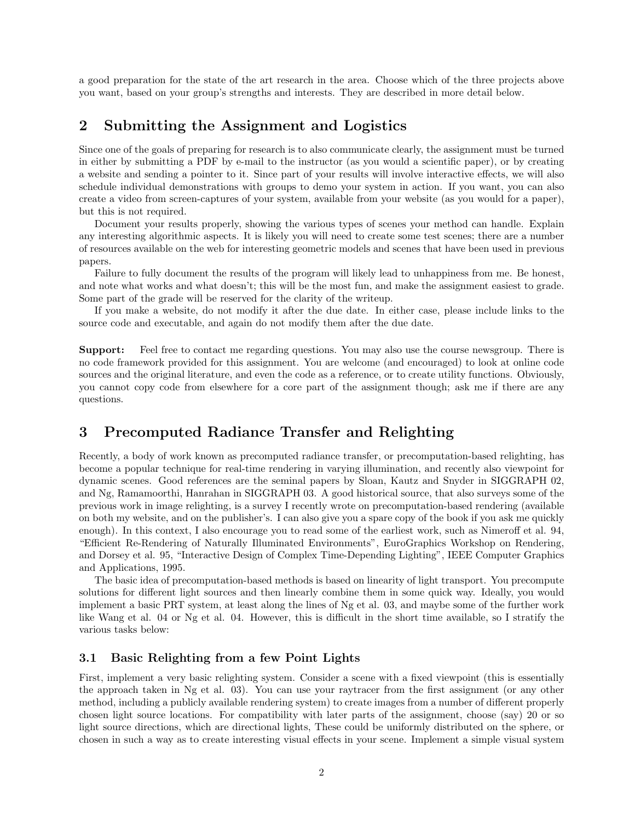a good preparation for the state of the art research in the area. Choose which of the three projects above you want, based on your group's strengths and interests. They are described in more detail below.

## 2 Submitting the Assignment and Logistics

Since one of the goals of preparing for research is to also communicate clearly, the assignment must be turned in either by submitting a PDF by e-mail to the instructor (as you would a scientific paper), or by creating a website and sending a pointer to it. Since part of your results will involve interactive effects, we will also schedule individual demonstrations with groups to demo your system in action. If you want, you can also create a video from screen-captures of your system, available from your website (as you would for a paper), but this is not required.

Document your results properly, showing the various types of scenes your method can handle. Explain any interesting algorithmic aspects. It is likely you will need to create some test scenes; there are a number of resources available on the web for interesting geometric models and scenes that have been used in previous papers.

Failure to fully document the results of the program will likely lead to unhappiness from me. Be honest, and note what works and what doesn't; this will be the most fun, and make the assignment easiest to grade. Some part of the grade will be reserved for the clarity of the writeup.

If you make a website, do not modify it after the due date. In either case, please include links to the source code and executable, and again do not modify them after the due date.

Support: Feel free to contact me regarding questions. You may also use the course newsgroup. There is no code framework provided for this assignment. You are welcome (and encouraged) to look at online code sources and the original literature, and even the code as a reference, or to create utility functions. Obviously, you cannot copy code from elsewhere for a core part of the assignment though; ask me if there are any questions.

# 3 Precomputed Radiance Transfer and Relighting

Recently, a body of work known as precomputed radiance transfer, or precomputation-based relighting, has become a popular technique for real-time rendering in varying illumination, and recently also viewpoint for dynamic scenes. Good references are the seminal papers by Sloan, Kautz and Snyder in SIGGRAPH 02, and Ng, Ramamoorthi, Hanrahan in SIGGRAPH 03. A good historical source, that also surveys some of the previous work in image relighting, is a survey I recently wrote on precomputation-based rendering (available on both my website, and on the publisher's. I can also give you a spare copy of the book if you ask me quickly enough). In this context, I also encourage you to read some of the earliest work, such as Nimeroff et al. 94, "Efficient Re-Rendering of Naturally Illuminated Environments", EuroGraphics Workshop on Rendering, and Dorsey et al. 95, "Interactive Design of Complex Time-Depending Lighting", IEEE Computer Graphics and Applications, 1995.

The basic idea of precomputation-based methods is based on linearity of light transport. You precompute solutions for different light sources and then linearly combine them in some quick way. Ideally, you would implement a basic PRT system, at least along the lines of Ng et al. 03, and maybe some of the further work like Wang et al. 04 or Ng et al. 04. However, this is difficult in the short time available, so I stratify the various tasks below:

#### 3.1 Basic Relighting from a few Point Lights

First, implement a very basic relighting system. Consider a scene with a fixed viewpoint (this is essentially the approach taken in Ng et al. 03). You can use your raytracer from the first assignment (or any other method, including a publicly available rendering system) to create images from a number of different properly chosen light source locations. For compatibility with later parts of the assignment, choose (say) 20 or so light source directions, which are directional lights, These could be uniformly distributed on the sphere, or chosen in such a way as to create interesting visual effects in your scene. Implement a simple visual system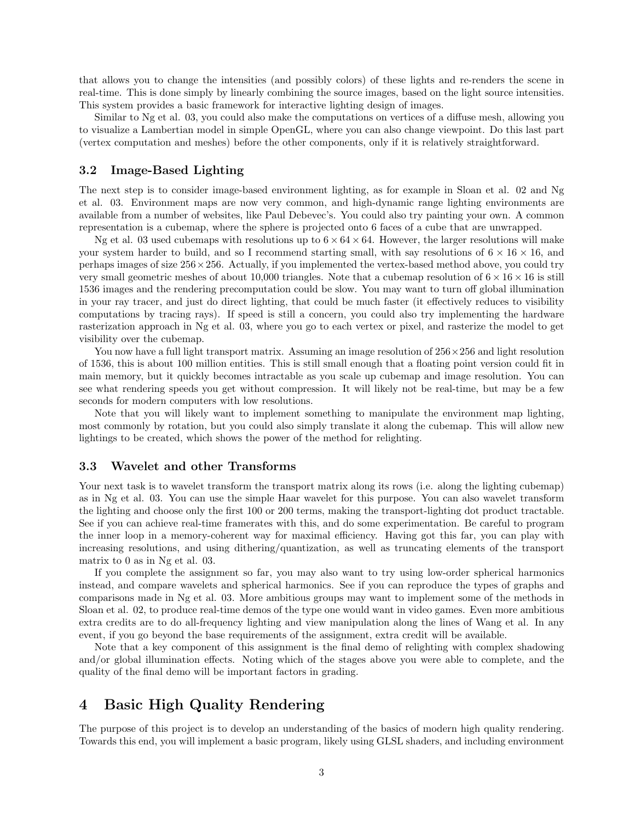that allows you to change the intensities (and possibly colors) of these lights and re-renders the scene in real-time. This is done simply by linearly combining the source images, based on the light source intensities. This system provides a basic framework for interactive lighting design of images.

Similar to Ng et al. 03, you could also make the computations on vertices of a diffuse mesh, allowing you to visualize a Lambertian model in simple OpenGL, where you can also change viewpoint. Do this last part (vertex computation and meshes) before the other components, only if it is relatively straightforward.

#### 3.2 Image-Based Lighting

The next step is to consider image-based environment lighting, as for example in Sloan et al. 02 and Ng et al. 03. Environment maps are now very common, and high-dynamic range lighting environments are available from a number of websites, like Paul Debevec's. You could also try painting your own. A common representation is a cubemap, where the sphere is projected onto 6 faces of a cube that are unwrapped.

Ng et al. 03 used cubemaps with resolutions up to  $6 \times 64 \times 64$ . However, the larger resolutions will make your system harder to build, and so I recommend starting small, with say resolutions of  $6 \times 16 \times 16$ , and perhaps images of size  $256 \times 256$ . Actually, if you implemented the vertex-based method above, you could try very small geometric meshes of about 10,000 triangles. Note that a cubemap resolution of  $6 \times 16 \times 16$  is still 1536 images and the rendering precomputation could be slow. You may want to turn off global illumination in your ray tracer, and just do direct lighting, that could be much faster (it effectively reduces to visibility computations by tracing rays). If speed is still a concern, you could also try implementing the hardware rasterization approach in Ng et al. 03, where you go to each vertex or pixel, and rasterize the model to get visibility over the cubemap.

You now have a full light transport matrix. Assuming an image resolution of  $256 \times 256$  and light resolution of 1536, this is about 100 million entities. This is still small enough that a floating point version could fit in main memory, but it quickly becomes intractable as you scale up cubemap and image resolution. You can see what rendering speeds you get without compression. It will likely not be real-time, but may be a few seconds for modern computers with low resolutions.

Note that you will likely want to implement something to manipulate the environment map lighting, most commonly by rotation, but you could also simply translate it along the cubemap. This will allow new lightings to be created, which shows the power of the method for relighting.

#### 3.3 Wavelet and other Transforms

Your next task is to wavelet transform the transport matrix along its rows (i.e. along the lighting cubemap) as in Ng et al. 03. You can use the simple Haar wavelet for this purpose. You can also wavelet transform the lighting and choose only the first 100 or 200 terms, making the transport-lighting dot product tractable. See if you can achieve real-time framerates with this, and do some experimentation. Be careful to program the inner loop in a memory-coherent way for maximal efficiency. Having got this far, you can play with increasing resolutions, and using dithering/quantization, as well as truncating elements of the transport matrix to 0 as in Ng et al. 03.

If you complete the assignment so far, you may also want to try using low-order spherical harmonics instead, and compare wavelets and spherical harmonics. See if you can reproduce the types of graphs and comparisons made in Ng et al. 03. More ambitious groups may want to implement some of the methods in Sloan et al. 02, to produce real-time demos of the type one would want in video games. Even more ambitious extra credits are to do all-frequency lighting and view manipulation along the lines of Wang et al. In any event, if you go beyond the base requirements of the assignment, extra credit will be available.

Note that a key component of this assignment is the final demo of relighting with complex shadowing and/or global illumination effects. Noting which of the stages above you were able to complete, and the quality of the final demo will be important factors in grading.

# 4 Basic High Quality Rendering

The purpose of this project is to develop an understanding of the basics of modern high quality rendering. Towards this end, you will implement a basic program, likely using GLSL shaders, and including environment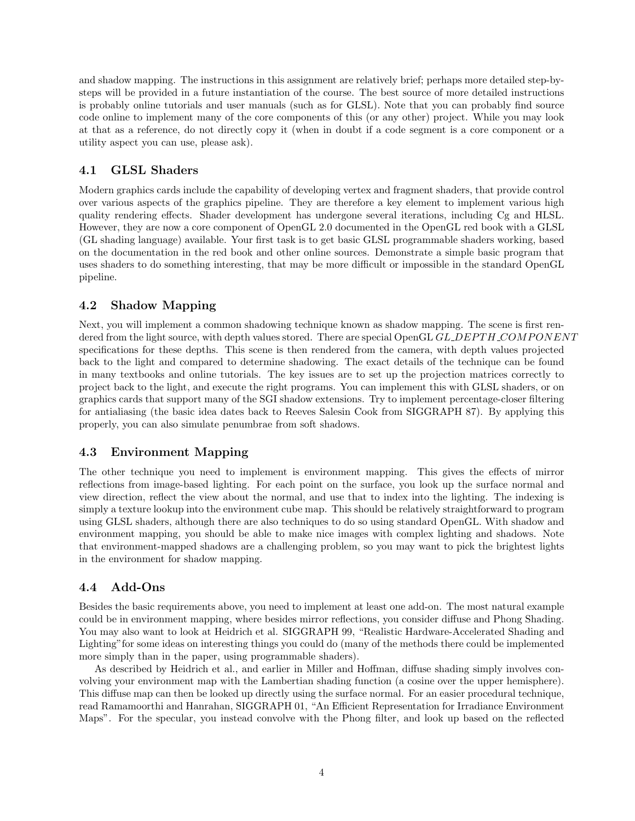and shadow mapping. The instructions in this assignment are relatively brief; perhaps more detailed step-bysteps will be provided in a future instantiation of the course. The best source of more detailed instructions is probably online tutorials and user manuals (such as for GLSL). Note that you can probably find source code online to implement many of the core components of this (or any other) project. While you may look at that as a reference, do not directly copy it (when in doubt if a code segment is a core component or a utility aspect you can use, please ask).

### 4.1 GLSL Shaders

Modern graphics cards include the capability of developing vertex and fragment shaders, that provide control over various aspects of the graphics pipeline. They are therefore a key element to implement various high quality rendering effects. Shader development has undergone several iterations, including Cg and HLSL. However, they are now a core component of OpenGL 2.0 documented in the OpenGL red book with a GLSL (GL shading language) available. Your first task is to get basic GLSL programmable shaders working, based on the documentation in the red book and other online sources. Demonstrate a simple basic program that uses shaders to do something interesting, that may be more difficult or impossible in the standard OpenGL pipeline.

### 4.2 Shadow Mapping

Next, you will implement a common shadowing technique known as shadow mapping. The scene is first rendered from the light source, with depth values stored. There are special OpenGL GL DEPTH COMPONENT specifications for these depths. This scene is then rendered from the camera, with depth values projected back to the light and compared to determine shadowing. The exact details of the technique can be found in many textbooks and online tutorials. The key issues are to set up the projection matrices correctly to project back to the light, and execute the right programs. You can implement this with GLSL shaders, or on graphics cards that support many of the SGI shadow extensions. Try to implement percentage-closer filtering for antialiasing (the basic idea dates back to Reeves Salesin Cook from SIGGRAPH 87). By applying this properly, you can also simulate penumbrae from soft shadows.

### 4.3 Environment Mapping

The other technique you need to implement is environment mapping. This gives the effects of mirror reflections from image-based lighting. For each point on the surface, you look up the surface normal and view direction, reflect the view about the normal, and use that to index into the lighting. The indexing is simply a texture lookup into the environment cube map. This should be relatively straightforward to program using GLSL shaders, although there are also techniques to do so using standard OpenGL. With shadow and environment mapping, you should be able to make nice images with complex lighting and shadows. Note that environment-mapped shadows are a challenging problem, so you may want to pick the brightest lights in the environment for shadow mapping.

### 4.4 Add-Ons

Besides the basic requirements above, you need to implement at least one add-on. The most natural example could be in environment mapping, where besides mirror reflections, you consider diffuse and Phong Shading. You may also want to look at Heidrich et al. SIGGRAPH 99, "Realistic Hardware-Accelerated Shading and Lighting"for some ideas on interesting things you could do (many of the methods there could be implemented more simply than in the paper, using programmable shaders).

As described by Heidrich et al., and earlier in Miller and Hoffman, diffuse shading simply involves convolving your environment map with the Lambertian shading function (a cosine over the upper hemisphere). This diffuse map can then be looked up directly using the surface normal. For an easier procedural technique, read Ramamoorthi and Hanrahan, SIGGRAPH 01, "An Efficient Representation for Irradiance Environment Maps". For the specular, you instead convolve with the Phong filter, and look up based on the reflected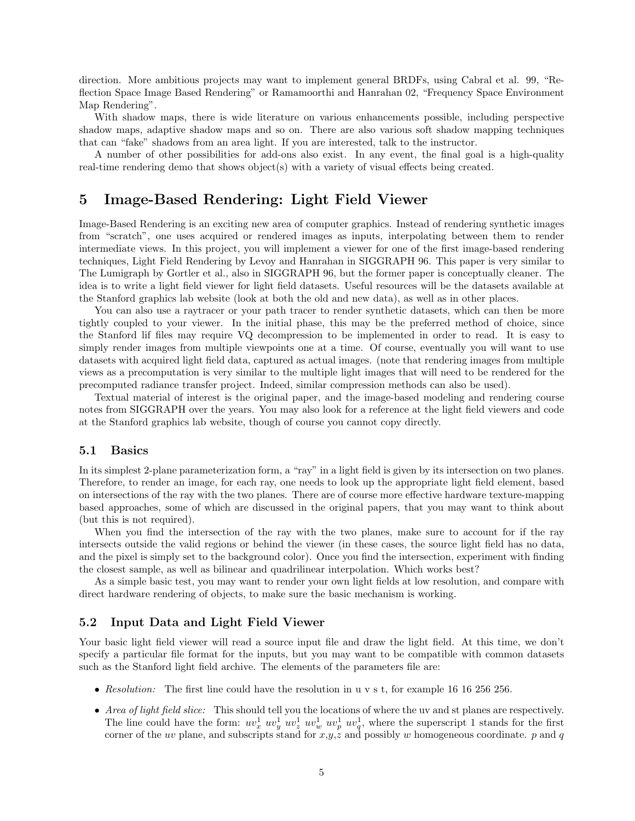direction. More ambitious projects may want to implement general BRDFs, using Cabral et al. 99, "Reflection Space Image Based Rendering" or Ramamoorthi and Hanrahan 02, "Frequency Space Environment Map Rendering".

With shadow maps, there is wide literature on various enhancements possible, including perspective shadow maps, adaptive shadow maps and so on. There are also various soft shadow mapping techniques that can "fake" shadows from an area light. If you are interested, talk to the instructor.

A number of other possibilities for add-ons also exist. In any event, the final goal is a high-quality real-time rendering demo that shows object(s) with a variety of visual effects being created.

## 5 Image-Based Rendering: Light Field Viewer

Image-Based Rendering is an exciting new area of computer graphics. Instead of rendering synthetic images from "scratch", one uses acquired or rendered images as inputs, interpolating between them to render intermediate views. In this project, you will implement a viewer for one of the first image-based rendering techniques, Light Field Rendering by Levoy and Hanrahan in SIGGRAPH 96. This paper is very similar to The Lumigraph by Gortler et al., also in SIGGRAPH 96, but the former paper is conceptually cleaner. The idea is to write a light field viewer for light field datasets. Useful resources will be the datasets available at the Stanford graphics lab website (look at both the old and new data), as well as in other places.

You can also use a raytracer or your path tracer to render synthetic datasets, which can then be more tightly coupled to your viewer. In the initial phase, this may be the preferred method of choice, since the Stanford lif files may require VQ decompression to be implemented in order to read. It is easy to simply render images from multiple viewpoints one at a time. Of course, eventually you will want to use datasets with acquired light field data, captured as actual images. (note that rendering images from multiple views as a precomputation is very similar to the multiple light images that will need to be rendered for the precomputed radiance transfer project. Indeed, similar compression methods can also be used).

Textual material of interest is the original paper, and the image-based modeling and rendering course notes from SIGGRAPH over the years. You may also look for a reference at the light field viewers and code at the Stanford graphics lab website, though of course you cannot copy directly.

#### 5.1 Basics

In its simplest 2-plane parameterization form, a "ray" in a light field is given by its intersection on two planes. Therefore, to render an image, for each ray, one needs to look up the appropriate light field element, based on intersections of the ray with the two planes. There are of course more effective hardware texture-mapping based approaches, some of which are discussed in the original papers, that you may want to think about (but this is not required).

When you find the intersection of the ray with the two planes, make sure to account for if the ray intersects outside the valid regions or behind the viewer (in these cases, the source light field has no data, and the pixel is simply set to the background color). Once you find the intersection, experiment with finding the closest sample, as well as bilinear and quadrilinear interpolation. Which works best?

As a simple basic test, you may want to render your own light fields at low resolution, and compare with direct hardware rendering of objects, to make sure the basic mechanism is working.

#### 5.2 Input Data and Light Field Viewer

Your basic light field viewer will read a source input file and draw the light field. At this time, we don't specify a particular file format for the inputs, but you may want to be compatible with common datasets such as the Stanford light field archive. The elements of the parameters file are:

- Resolution: The first line could have the resolution in u v s t, for example 16 16 256 256.
- Area of light field slice: This should tell you the locations of where the uv and st planes are respectively. The line could have the form:  $uv_x^1$   $uv_y^1$   $uv_z^1$   $uv_y^1$   $uv_y^1$ , where the superscript 1 stands for the first corner of the uv plane, and subscripts stand for  $x,y,z$  and possibly w homogeneous coordinate. p and q